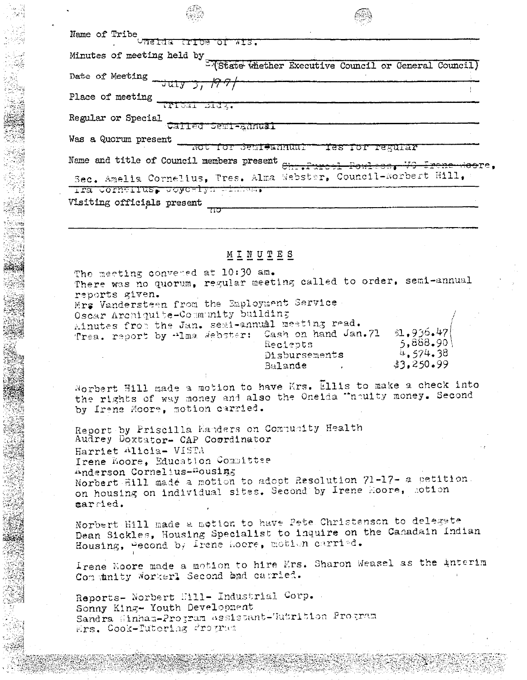| Name of Tribe<br><b>TELDS</b><br>vne Ma<br>$\pi$ 13.                |                                                        |
|---------------------------------------------------------------------|--------------------------------------------------------|
| Minutes of meeting held by                                          | Existate whether Executive Council or General Council) |
| Date of Meeting                                                     |                                                        |
| Place of meeting<br>TPIUAI LAUG.                                    |                                                        |
| Regular or Special<br>Called Semi-annual                            |                                                        |
| Was a Quorum present<br>BenTeannuai<br>or                           | Tes for regular                                        |
| Name and title of Council members present                           | Chr.Purcel Powless. VG Irene Hoore                     |
| Sec. Amelia Cornelius, Tres. Alma Webster, Council-Norbert Hill.    |                                                        |
| Tra Cornellus, Coycelyn Finham,<br>Visiting officials present<br>πJ |                                                        |

وتنقيتهم

MINUTES

The meeting convered at 10:30 am. There was no quorum, regular meeting called to order, semi-annual reports given. Mrg Vandersteen from the Employment Service Oscar Archiquite-Community building Ainutes from the Jan. semi-annual meeting read.  $$1.936.47$ Cash on hand Jan. 71 Trea. report by "lma Webster:  $5,888.90$ Reciepts 4,574.38 Disbursements  $3.250.99$ Balande

Norbert Hill made a motion to have Krs. Ellis to make a check into the rights of way money and also the Oneida "naulty money. Second by Irene Moore, motion carried.

Report by Priscilla Manders on Community Health Audrey Doxtator- CAP Coordinator Harriet Alicia- VISTA Irene Boore, Education Committee Anderson Cornelius-Housing Norbert Hill madé a motion to adopt Resolution 71-17- a petition. on housing on individual sites. Second by Irene Hoore, notion married.

Norbert Hill made a motion to have Pete Christenson to delegate Dean Sickles, Housing Specialist to inquire on the Canadain Indian Housing, Second by Prene Hoore, motion carried.

Irene Noore made a motion to hire Mrs. Sharon Weasel as the Anterim Committy Workerl Second and carried.

Reports- Norbert Hill- Industrial Corp. Sonny King- Youth Development Sandra Winham-Program Assistant-Uutrition Program Mrs. Cook-Tutering Program